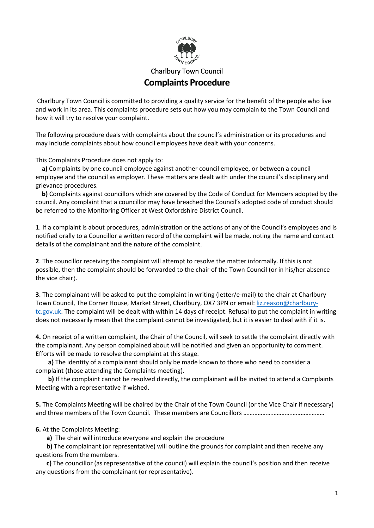

## Charlbury Town Council **Complaints Procedure**

Charlbury Town Council is committed to providing a quality service for the benefit of the people who live and work in its area. This complaints procedure sets out how you may complain to the Town Council and how it will try to resolve your complaint.

The following procedure deals with complaints about the council's administration or its procedures and may include complaints about how council employees have dealt with your concerns.

This Complaints Procedure does not apply to:

 **a)** Complaints by one council employee against another council employee, or between a council employee and the council as employer. These matters are dealt with under the council's disciplinary and grievance procedures.

 **b)** Complaints against councillors which are covered by the Code of Conduct for Members adopted by the council. Any complaint that a councillor may have breached the Council's adopted code of conduct should be referred to the Monitoring Officer at West Oxfordshire District Council.

**1**. If a complaint is about procedures, administration or the actions of any of the Council's employees and is notified orally to a Councillor a written record of the complaint will be made, noting the name and contact details of the complainant and the nature of the complaint.

**2**. The councillor receiving the complaint will attempt to resolve the matter informally. If this is not possible, then the complaint should be forwarded to the chair of the Town Council (or in his/her absence the vice chair).

**3**. The complainant will be asked to put the complaint in writing (letter/e-mail) to the chair at Charlbury Town Council, The Corner House, Market Street, Charlbury, OX7 3PN or email: [liz.reason@charlbury](mailto:liz.reason@charlbury-tc.gov.uk)[tc.gov.uk.](mailto:liz.reason@charlbury-tc.gov.uk) The complaint will be dealt with within 14 days of receipt. Refusal to put the complaint in writing does not necessarily mean that the complaint cannot be investigated, but it is easier to deal with if it is.

**4.** On receipt of a written complaint, the Chair of the Council, will seek to settle the complaint directly with the complainant. Any person complained about will be notified and given an opportunity to comment. Efforts will be made to resolve the complaint at this stage.

 **a)** The identity of a complainant should only be made known to those who need to consider a complaint (those attending the Complaints meeting).

**b)** If the complaint cannot be resolved directly, the complainant will be invited to attend a Complaints Meeting with a representative if wished.

**5.** The Complaints Meeting will be chaired by the Chair of the Town Council (or the Vice Chair if necessary) and three members of the Town Council. These members are Councillors ……………………………………………

**6.** At the Complaints Meeting:

**a)** The chair will introduce everyone and explain the procedure

**b)** The complainant (or representative) will outline the grounds for complaint and then receive any questions from the members.

 **c)** The councillor (as representative of the council) will explain the council's position and then receive any questions from the complainant (or representative).